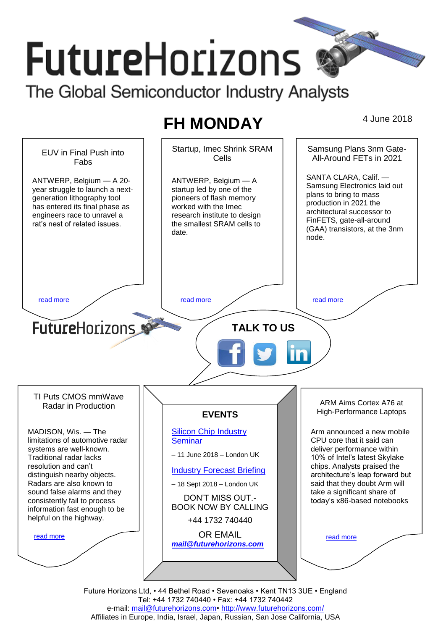# **FutureHorizons** The Global Semiconductor Industry Analysts

## **FH MONDAY** 4 June 2018



Future Horizons Ltd, • 44 Bethel Road • Sevenoaks • Kent TN13 3UE • England Tel: +44 1732 740440 • Fax: +44 1732 740442 e-mail: mail@futurehorizons.com• http://www.futurehorizons.com/ Affiliates in Europe, India, Israel, Japan, Russian, San Jose California, USA